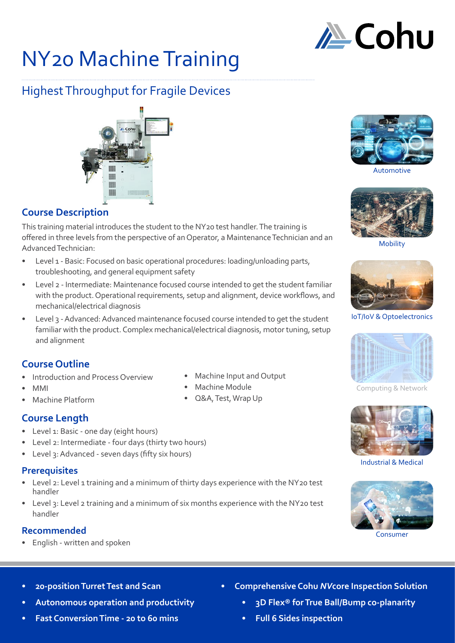

## NY20 Machine Training

### Highest Throughput for Fragile Devices

# HIII

#### **Course Description**

This training material introduces the student to the NY20 test handler. The training is offered in three levels from the perspective of an Operator, a Maintenance Technician and an Advanced Technician:

- Level 1 Basic: Focused on basic operational procedures: loading/unloading parts, troubleshooting, and general equipment safety
- Level 2 Intermediate: Maintenance focused course intended to get the student familiar with the product. Operational requirements, setup and alignment, device workflows, and mechanical/electrical diagnosis
- Level 3 Advanced: Advanced maintenance focused course intended to get the student familiar with the product. Complex mechanical/electrical diagnosis, motor tuning, setup and alignment

#### **Course Outline**

- Introduction and Process Overview
- MMI
- Machine Platform

#### **Course Length**

- Level 1: Basic one day (eight hours)
- Level 2: Intermediate four days (thirty two hours)
- Level 3: Advanced seven days (fifty six hours)

#### **Prerequisites**

- Level 2: Level 1 training and a minimum of thirty days experience with the NY20 test handler
- Level 3: Level 2 training and a minimum of six months experience with the NY20 test handler

#### **Recommended**

• English - written and spoken

- Machine Input and Output
- Machine Module
- Q&A, Test, Wrap Up



Automotive



Mobility



IoT/IoV & Optoelectronics



Computing & Network



Industrial & Medical



Consumer

- **• 20-position Turret Test and Scan**
- **• Autonomous operation and productivity**
- **• Fast Conversion Time 20 to 60 mins**
- **• Comprehensive Cohu** *NV***core Inspection Solution**
	- **• 3D Flex® for True Ball/Bump co-planarity**
	- **• Full 6 Sides inspection**

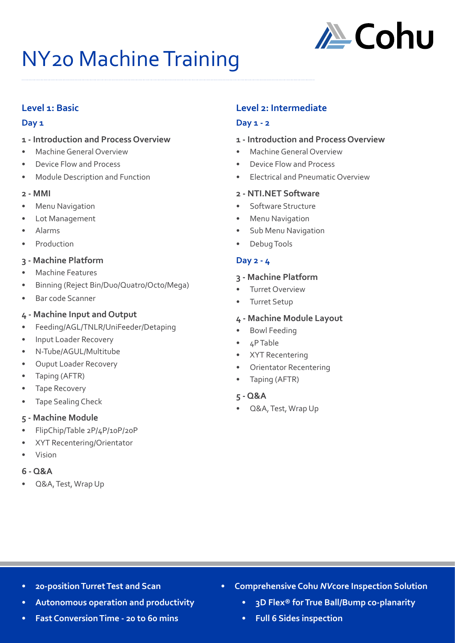

## NY20 Machine Training

#### **Level 1: Basic**

#### **Day 1**

#### **1 - Introduction and Process Overview**

- Machine General Overview
- Device Flow and Process
- Module Description and Function

#### **2 - MMI**

- **Menu Navigation**
- Lot Management
- Alarms
- **Production**

#### **3 - Machine Platform**

- Machine Features
- Binning (Reject Bin/Duo/Quatro/Octo/Mega)
- Bar code Scanner

#### **4 - Machine Input and Output**

- Feeding/AGL/TNLR/UniFeeder/Detaping
- Input Loader Recovery
- N-Tube/AGUL/Multitube
- Ouput Loader Recovery
- Taping (AFTR)
- Tape Recovery
- Tape Sealing Check

#### **5 - Machine Module**

- FlipChip/Table 2P/4P/10P/20P
- XYT Recentering/Orientator
- Vision

#### **6 - Q&A**

• Q&A, Test, Wrap Up

#### **Level 2: Intermediate**

#### **Day 1 - 2**

#### **1 - Introduction and Process Overview**

- Machine General Overview
- Device Flow and Process
- Electrical and Pneumatic Overview

#### **2 - NTI.NET Software**

- Software Structure
- Menu Navigation
- Sub Menu Navigation
- Debug Tools

#### **Day 2 - 4**

#### **3 - Machine Platform**

- Turret Overview
- Turret Setup

#### **4 - Machine Module Layout**

- Bowl Feeding
- 4P Table
- XYT Recentering
- Orientator Recentering
- Taping (AFTR)
- **5 Q&A**
- Q&A, Test, Wrap Up

- **• 20-position Turret Test and Scan**
- **• Autonomous operation and productivity**
- **• Fast Conversion Time 20 to 60 mins**
- **• Comprehensive Cohu** *NV***core Inspection Solution**
	- **• 3D Flex® for True Ball/Bump co-planarity**
	- **• Full 6 Sides inspection**